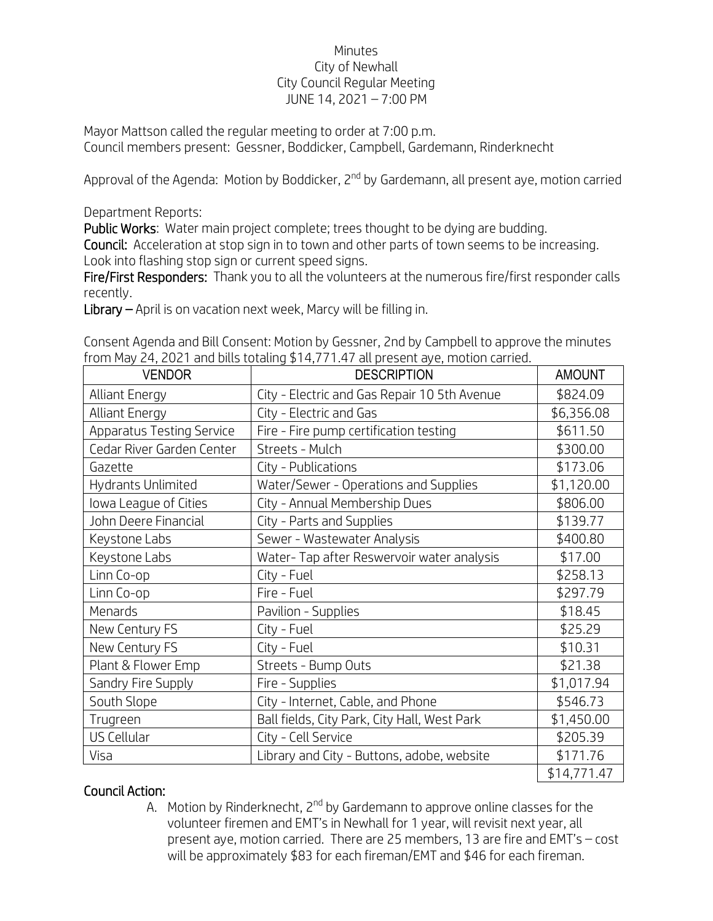## Minutes City of Newhall City Council Regular Meeting JUNE 14, 2021 – 7:00 PM

Mayor Mattson called the regular meeting to order at 7:00 p.m. Council members present: Gessner, Boddicker, Campbell, Gardemann, Rinderknecht

Approval of the Agenda: Motion by Boddicker, 2<sup>nd</sup> by Gardemann, all present aye, motion carried

Department Reports:

Public Works: Water main project complete; trees thought to be dying are budding.

Council: Acceleration at stop sign in to town and other parts of town seems to be increasing. Look into flashing stop sign or current speed signs.

Fire/First Responders: Thank you to all the volunteers at the numerous fire/first responder calls recently.

Library – April is on vacation next week, Marcy will be filling in.

| Consent Agenda and Bill Consent: Motion by Gessner, 2nd by Campbell to approve the minutes |  |
|--------------------------------------------------------------------------------------------|--|
| from May 24, 2021 and bills totaling \$14,771.47 all present aye, motion carried.          |  |

| <b>VENDOR</b>                    | <b>DESCRIPTION</b>                           | <b>AMOUNT</b> |
|----------------------------------|----------------------------------------------|---------------|
| <b>Alliant Energy</b>            | City - Electric and Gas Repair 10 5th Avenue | \$824.09      |
| <b>Alliant Energy</b>            | City - Electric and Gas                      | \$6,356.08    |
| <b>Apparatus Testing Service</b> | Fire - Fire pump certification testing       | \$611.50      |
| Cedar River Garden Center        | Streets - Mulch                              | \$300.00      |
| Gazette                          | City - Publications                          | \$173.06      |
| Hydrants Unlimited               | Water/Sewer - Operations and Supplies        | \$1,120.00    |
| lowa League of Cities            | City - Annual Membership Dues                | \$806.00      |
| John Deere Financial             | City - Parts and Supplies                    | \$139.77      |
| Keystone Labs                    | Sewer - Wastewater Analysis                  | \$400.80      |
| Keystone Labs                    | Water-Tap after Reswervoir water analysis    | \$17.00       |
| Linn Co-op                       | City - Fuel                                  | \$258.13      |
| Linn Co-op                       | Fire - Fuel                                  | \$297.79      |
| Menards                          | Pavilion - Supplies                          | \$18.45       |
| New Century FS                   | City - Fuel                                  | \$25.29       |
| New Century FS                   | City - Fuel                                  | \$10.31       |
| Plant & Flower Emp               | Streets - Bump Outs                          | \$21.38       |
| Sandry Fire Supply               | Fire - Supplies                              | \$1,017.94    |
| South Slope                      | City - Internet, Cable, and Phone            | \$546.73      |
| Trugreen                         | Ball fields, City Park, City Hall, West Park | \$1,450.00    |
| US Cellular                      | City - Cell Service                          | \$205.39      |
| Visa                             | Library and City - Buttons, adobe, website   | \$171.76      |
|                                  |                                              | \$14,771.47   |

## Council Action:

A. Motion by Rinderknecht, 2<sup>nd</sup> by Gardemann to approve online classes for the volunteer firemen and EMT's in Newhall for 1 year, will revisit next year, all present aye, motion carried. There are 25 members, 13 are fire and EMT's – cost will be approximately \$83 for each fireman/EMT and \$46 for each fireman.